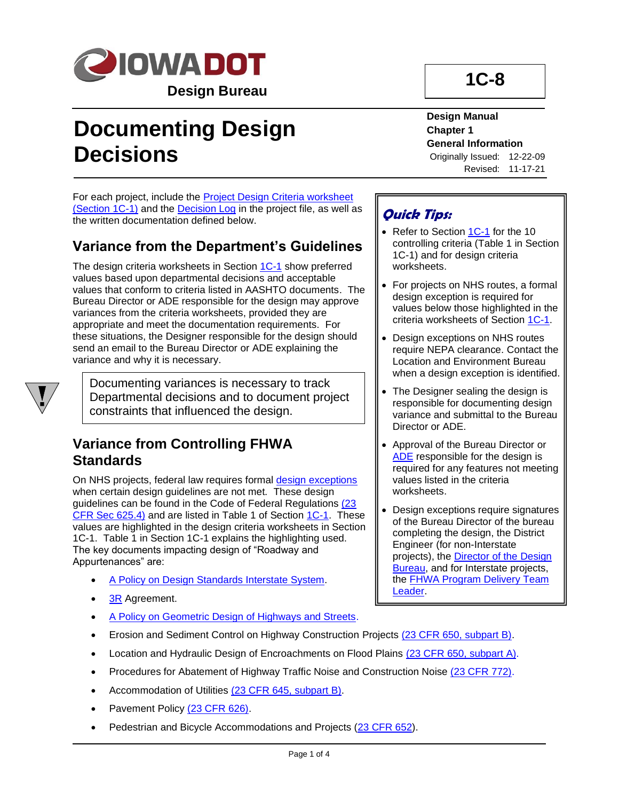

# **Documenting Design Decisions**

**Design Manual Chapter 1 General Information**

**1C-8**

Originally Issued: 12-22-09 Revised: 11-17-21

For each project, include the **Project Design Criteria worksheet** [\(Section 1C-1\)](01C-01.pdf) and the [Decision Log](../../projectdev/ProjDecisionLog.xltm) in the project file, as well as the written documentation defined below.

# <span id="page-0-0"></span>**Variance from the Department's Guidelines**

The design criteria worksheets in Section [1C-1](01c-01.pdf) show preferred values based upon departmental decisions and acceptable values that conform to criteria listed in AASHTO documents. The Bureau Director or ADE responsible for the design may approve variances from the criteria worksheets, provided they are appropriate and meet the documentation requirements. For these situations, the Designer responsible for the design should send an email to the Bureau Director or ADE explaining the variance and why it is necessary.



Documenting variances is necessary to track Departmental decisions and to document project constraints that influenced the design.

## **Variance from Controlling FHWA Standards**

On NHS projects, federal law requires formal [design exceptions](01b-01/DesignException.pdf) when certain design guidelines are not met. These design guidelines can be found in the Code of Federal Regulations (23 [CFR Sec 625.4\)](http://www.ecfr.gov/cgi-bin/retrieveECFR?gp=1&SID=6bed1ee099ba84cd912a0b3bf701daa5&ty=HTML&h=L&n=23y1.0.1.7.18&r=PART#23:1.0.1.7.18.0.1.4) and are listed in Table 1 of Section [1C-1.](01c-01.pdf) These values are highlighted in the design criteria worksheets in Section 1C-1. Table 1 in Section 1C-1 explains the highlighting used. The key documents impacting design of "Roadway and Appurtenances" are:

- [A Policy on Design Standards Interstate System.](01b-01/APolicyOnDesignStandardsInterstateSystem.pdf)
- [3R](01B-01/3R.pdf) Agreement.
- [A Policy on Geometric Design of Highways and Streets.](01b-01/AASHTOGreenbook.pdf)
- Erosion and Sediment Control on Highway Construction Projects [\(23 CFR 650, subpart B\).](http://www.ecfr.gov/cgi-bin/retrieveECFR?gp=1&SID=6bed1ee099ba84cd912a0b3bf701daa5&h=L&r=PART&n=23y1.0.1.7.28)
- Location and Hydraulic Design of Encroachments on Flood Plains [\(23 CFR 650, subpart A\).](http://www.ecfr.gov/cgi-bin/retrieveECFR?gp=1&SID=6bed1ee099ba84cd912a0b3bf701daa5&h=L&r=PART&n=23y1.0.1.7.28)
- Procedures for Abatement of Highway Traffic Noise and Construction Noise [\(23 CFR 772\).](http://www.ecfr.gov/cgi-bin/retrieveECFR?gp=&SID=6bed1ee099ba84cd912a0b3bf701daa5&r=PART&n=23y1.0.1.8.44)
- Accommodation of Utilities [\(23 CFR 645, subpart B\).](http://www.ecfr.gov/cgi-bin/retrieveECFR?gp=1&SID=6bed1ee099ba84cd912a0b3bf701daa5&h=L&r=PART&n=23y1.0.1.7.26)
- Pavement Policy [\(23 CFR 626\).](http://www.ecfr.gov/cgi-bin/retrieveECFR?gp=1&SID=6bed1ee099ba84cd912a0b3bf701daa5&h=L&r=PART&n=23y1.0.1.7.19)
- Pedestrian and Bicycle Accommodations and Projects [\(23 CFR 652\)](https://www.ecfr.gov/cgi-bin/text-idx?SID=ee09c175f706081e5d1b3514c6e46ec9&mc=true&tpl=/ecfrbrowse/Title23/23cfr652_main_02.tpl).

## **Quick Tips:**

- Refer to Section [1C-1](01c-01.pdf) for the 10 controlling criteria (Table 1 in Section 1C-1) and for design criteria worksheets.
- For projects on NHS routes, a formal design exception is required for values below those highlighted in the criteria worksheets of Section [1C-1.](01c-01.pdf)
- Design exceptions on NHS routes require NEPA clearance. Contact the Location and Environment Bureau when a design exception is identified.
- The Designer sealing the design is responsible for documenting design variance and submittal to the Bureau Director or ADE.
- Approval of the Bureau Director or [ADE](01b-01/ADE.pdf) responsible for the design is required for any features not meeting values listed in the criteria worksheets.
- Design exceptions require signatures of the Bureau Director of the bureau completing the design, the District Engineer (for non-Interstate projects), the **Director of the Design Bureau**, and for Interstate projects, the [FHWA Program Delivery](01B-02/FHWAProgramDeliveryTeamLeader.pdf) Team [Leader.](01B-02/FHWAProgramDeliveryTeamLeader.pdf)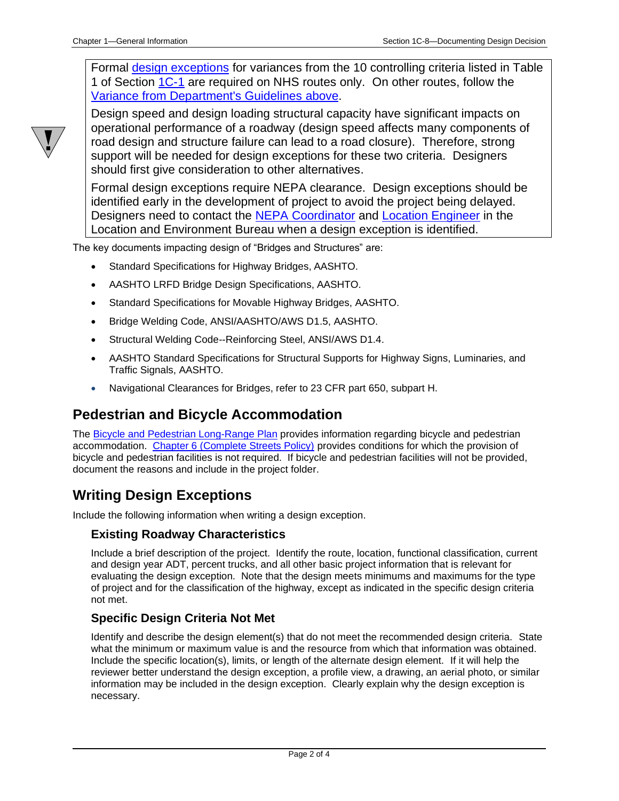Formal [design exceptions](01b-01/DesignException.pdf) for variances from the 10 controlling criteria listed in Table 1 of Section [1C-1](01c-01.pdf) are required on NHS routes only. On other routes, follow the [Variance from Department's Guidelines](#page-0-0) above.



Design speed and design loading structural capacity have significant impacts on operational performance of a roadway (design speed affects many components of road design and structure failure can lead to a road closure). Therefore, strong support will be needed for design exceptions for these two criteria. Designers should first give consideration to other alternatives.

Formal design exceptions require NEPA clearance. Design exceptions should be identified early in the development of project to avoid the project being delayed. Designers need to contact the [NEPA Coordinator](01B-02/NEPACoordinator.pdf) and [Location Engineer](01B-02/LocationEngineer.pdf) in the Location and Environment Bureau when a design exception is identified.

The key documents impacting design of "Bridges and Structures" are:

- Standard Specifications for Highway Bridges, AASHTO.
- AASHTO LRFD Bridge Design Specifications, AASHTO.
- Standard Specifications for Movable Highway Bridges, AASHTO.
- Bridge Welding Code, ANSI/AASHTO/AWS D1.5, AASHTO.
- Structural Welding Code--Reinforcing Steel, ANSI/AWS D1.4.
- AASHTO Standard Specifications for Structural Supports for Highway Signs, Luminaries, and Traffic Signals, AASHTO.
- Navigational Clearances for Bridges, refer to 23 CFR part 650, subpart H.

### **Pedestrian and Bicycle Accommodation**

The **Bicycle and Pedestrian Long-Range Plan** provides information regarding bicycle and pedestrian accommodation. [Chapter 6 \(Complete Streets Policy\)](https://iowadot.gov/iowainmotion/files/Complete-Streets-Policy.pdf) provides conditions for which the provision of bicycle and pedestrian facilities is not required. If bicycle and pedestrian facilities will not be provided, document the reasons and include in the project folder.

## **Writing Design Exceptions**

Include the following information when writing a design exception.

#### **Existing Roadway Characteristics**

Include a brief description of the project. Identify the route, location, functional classification, current and design year ADT, percent trucks, and all other basic project information that is relevant for evaluating the design exception. Note that the design meets minimums and maximums for the type of project and for the classification of the highway, except as indicated in the specific design criteria not met.

#### **Specific Design Criteria Not Met**

Identify and describe the design element(s) that do not meet the recommended design criteria. State what the minimum or maximum value is and the resource from which that information was obtained. Include the specific location(s), limits, or length of the alternate design element. If it will help the reviewer better understand the design exception, a profile view, a drawing, an aerial photo, or similar information may be included in the design exception. Clearly explain why the design exception is necessary.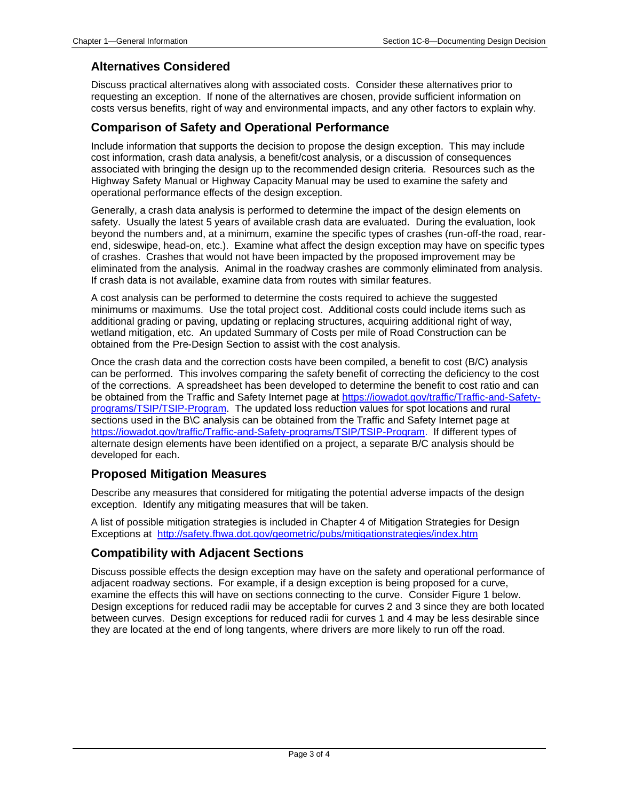#### **Alternatives Considered**

Discuss practical alternatives along with associated costs. Consider these alternatives prior to requesting an exception. If none of the alternatives are chosen, provide sufficient information on costs versus benefits, right of way and environmental impacts, and any other factors to explain why.

#### **Comparison of Safety and Operational Performance**

Include information that supports the decision to propose the design exception. This may include cost information, crash data analysis, a benefit/cost analysis, or a discussion of consequences associated with bringing the design up to the recommended design criteria. Resources such as the Highway Safety Manual or Highway Capacity Manual may be used to examine the safety and operational performance effects of the design exception.

Generally, a crash data analysis is performed to determine the impact of the design elements on safety. Usually the latest 5 years of available crash data are evaluated. During the evaluation, look beyond the numbers and, at a minimum, examine the specific types of crashes (run-off-the road, rearend, sideswipe, head-on, etc.). Examine what affect the design exception may have on specific types of crashes. Crashes that would not have been impacted by the proposed improvement may be eliminated from the analysis. Animal in the roadway crashes are commonly eliminated from analysis. If crash data is not available, examine data from routes with similar features.

A cost analysis can be performed to determine the costs required to achieve the suggested minimums or maximums. Use the total project cost. Additional costs could include items such as additional grading or paving, updating or replacing structures, acquiring additional right of way, wetland mitigation, etc. An updated Summary of Costs per mile of Road Construction can be obtained from the Pre-Design Section to assist with the cost analysis.

Once the crash data and the correction costs have been compiled, a benefit to cost (B/C) analysis can be performed. This involves comparing the safety benefit of correcting the deficiency to the cost of the corrections. A spreadsheet has been developed to determine the benefit to cost ratio and can be obtained from the Traffic and Safety Internet page at [https://iowadot.gov/traffic/Traffic-and-Safety](https://iowadot.gov/traffic/Traffic-and-Safety-programs/TSIP/TSIP-Program)[programs/TSIP/TSIP-Program.](https://iowadot.gov/traffic/Traffic-and-Safety-programs/TSIP/TSIP-Program) The updated loss reduction values for spot locations and rural sections used in the B\C analysis can be obtained from the Traffic and Safety Internet page at [https://iowadot.gov/traffic/Traffic-and-Safety-programs/TSIP/TSIP-Program.](https://iowadot.gov/traffic/Traffic-and-Safety-programs/TSIP/TSIP-Program) If different types of alternate design elements have been identified on a project, a separate B/C analysis should be developed for each.

#### **Proposed Mitigation Measures**

Describe any measures that considered for mitigating the potential adverse impacts of the design exception. Identify any mitigating measures that will be taken.

A list of possible mitigation strategies is included in Chapter 4 of Mitigation Strategies for Design Exceptions at <http://safety.fhwa.dot.gov/geometric/pubs/mitigationstrategies/index.htm>

#### **Compatibility with Adjacent Sections**

Discuss possible effects the design exception may have on the safety and operational performance of adjacent roadway sections. For example, if a design exception is being proposed for a curve, examine the effects this will have on sections connecting to the curve. Consider Figure 1 below. Design exceptions for reduced radii may be acceptable for curves 2 and 3 since they are both located between curves. Design exceptions for reduced radii for curves 1 and 4 may be less desirable since they are located at the end of long tangents, where drivers are more likely to run off the road.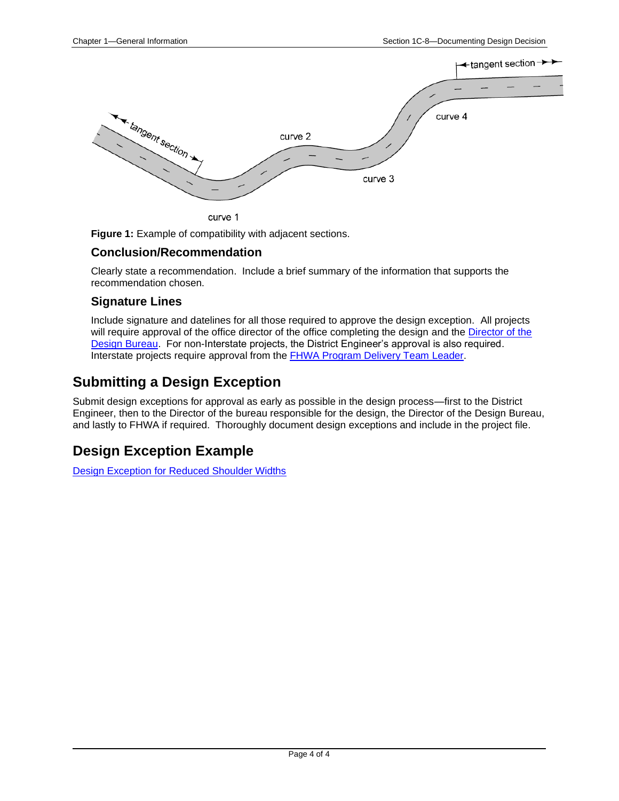

curve 1

**Figure 1:** Example of compatibility with adjacent sections.

#### **Conclusion/Recommendation**

Clearly state a recommendation. Include a brief summary of the information that supports the recommendation chosen.

#### **Signature Lines**

Include signature and datelines for all those required to approve the design exception. All projects will require approval of the office director of the office completing the design and the [Director of the](01B-02/DirectorOfficeofDesign.pdf) [Design Bureau.](01B-02/DirectorOfficeofDesign.pdf) For non-Interstate projects, the District Engineer's approval is also required. Interstate projects require approval from the **FHWA Program Delivery Team Leader**.

### **Submitting a Design Exception**

Submit design exceptions for approval as early as possible in the design process—first to the District Engineer, then to the Director of the bureau responsible for the design, the Director of the Design Bureau, and lastly to FHWA if required. Thoroughly document design exceptions and include in the project file.

## **Design Exception Example**

[Design Exception for Reduced Shoulder Widths](01c-08/Design_Exception_request_for_reduced_shoulder_widths_2-12-10.pdf)